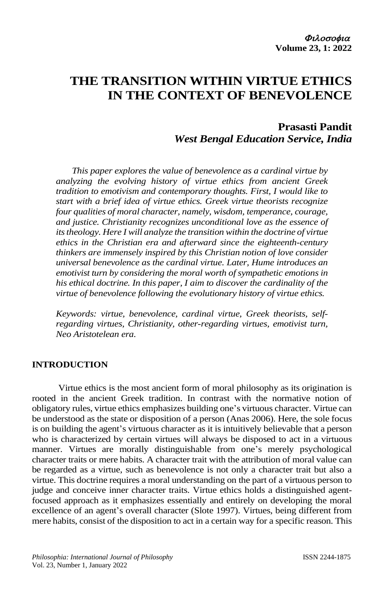# **THE TRANSITION WITHIN VIRTUE ETHICS IN THE CONTEXT OF BENEVOLENCE**

# **Prasasti Pandit** *West Bengal Education Service, India*

*This paper explores the value of benevolence as a cardinal virtue by analyzing the evolving history of virtue ethics from ancient Greek tradition to emotivism and contemporary thoughts. First, I would like to start with a brief idea of virtue ethics. Greek virtue theorists recognize four qualities of moral character, namely, wisdom, temperance, courage, and justice. Christianity recognizes unconditional love as the essence of its theology. Here I will analyze the transition within the doctrine of virtue ethics in the Christian era and afterward since the eighteenth-century thinkers are immensely inspired by this Christian notion of love consider universal benevolence as the cardinal virtue. Later, Hume introduces an emotivist turn by considering the moral worth of sympathetic emotions in his ethical doctrine. In this paper, I aim to discover the cardinality of the virtue of benevolence following the evolutionary history of virtue ethics.*

*Keywords: virtue, benevolence, cardinal virtue, Greek theorists, selfregarding virtues, Christianity, other-regarding virtues, emotivist turn, Neo Aristotelean era.* 

### **INTRODUCTION**

Virtue ethics is the most ancient form of moral philosophy as its origination is rooted in the ancient Greek tradition. In contrast with the normative notion of obligatory rules, virtue ethics emphasizes building one's virtuous character. Virtue can be understood as the state or disposition of a person (Anas 2006). Here, the sole focus is on building the agent's virtuous character as it is intuitively believable that a person who is characterized by certain virtues will always be disposed to act in a virtuous manner. Virtues are morally distinguishable from one's merely psychological character traits or mere habits. A character trait with the attribution of moral value can be regarded as a virtue, such as benevolence is not only a character trait but also a virtue. This doctrine requires a moral understanding on the part of a virtuous person to judge and conceive inner character traits. Virtue ethics holds a distinguished agentfocused approach as it emphasizes essentially and entirely on developing the moral excellence of an agent's overall character (Slote 1997). Virtues, being different from mere habits, consist of the disposition to act in a certain way for a specific reason. This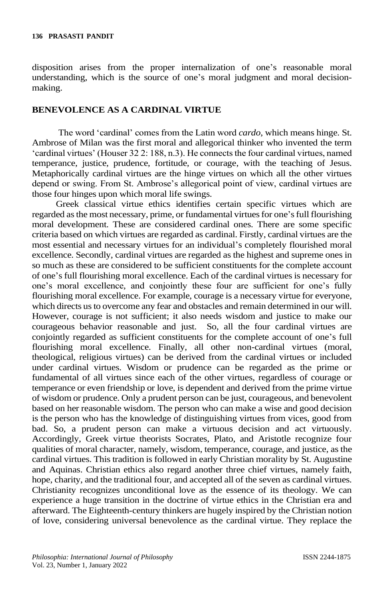disposition arises from the proper internalization of one's reasonable moral understanding, which is the source of one's moral judgment and moral decisionmaking.

### **BENEVOLENCE AS A CARDINAL VIRTUE**

The word 'cardinal' comes from the Latin word *cardo*, which means hinge. St. Ambrose of Milan was the first moral and allegorical thinker who invented the term 'cardinal virtues' (Houser 32 2: 188, n.3). He connects the four cardinal virtues, named temperance, justice, prudence, fortitude, or courage, with the teaching of Jesus. Metaphorically cardinal virtues are the hinge virtues on which all the other virtues depend or swing. From St. Ambrose's allegorical point of view, cardinal virtues are those four hinges upon which moral life swings.

Greek classical virtue ethics identifies certain specific virtues which are regarded as the most necessary, prime, or fundamental virtues for one's full flourishing moral development. These are considered cardinal ones. There are some specific criteria based on which virtues are regarded as cardinal. Firstly, cardinal virtues are the most essential and necessary virtues for an individual's completely flourished moral excellence. Secondly, cardinal virtues are regarded as the highest and supreme ones in so much as these are considered to be sufficient constituents for the complete account of one's full flourishing moral excellence. Each of the cardinal virtues is necessary for one's moral excellence, and conjointly these four are sufficient for one's fully flourishing moral excellence. For example, courage is a necessary virtue for everyone, which directs us to overcome any fear and obstacles and remain determined in our will. However, courage is not sufficient; it also needs wisdom and justice to make our courageous behavior reasonable and just. So, all the four cardinal virtues are conjointly regarded as sufficient constituents for the complete account of one's full flourishing moral excellence. Finally, all other non-cardinal virtues (moral, theological, religious virtues) can be derived from the cardinal virtues or included under cardinal virtues. Wisdom or prudence can be regarded as the prime or fundamental of all virtues since each of the other virtues, regardless of courage or temperance or even friendship or love, is dependent and derived from the prime virtue of wisdom or prudence. Only a prudent person can be just, courageous, and benevolent based on her reasonable wisdom. The person who can make a wise and good decision is the person who has the knowledge of distinguishing virtues from vices, good from bad. So, a prudent person can make a virtuous decision and act virtuously. Accordingly, Greek virtue theorists Socrates, Plato, and Aristotle recognize four qualities of moral character, namely, wisdom, temperance, courage, and justice, as the cardinal virtues. This tradition is followed in early Christian morality by St. Augustine and Aquinas. Christian ethics also regard another three chief virtues, namely faith, hope, charity, and the traditional four, and accepted all of the seven as cardinal virtues. Christianity recognizes unconditional love as the essence of its theology. We can experience a huge transition in the doctrine of virtue ethics in the Christian era and afterward. The Eighteenth-century thinkers are hugely inspired by the Christian notion of love, considering universal benevolence as the cardinal virtue. They replace the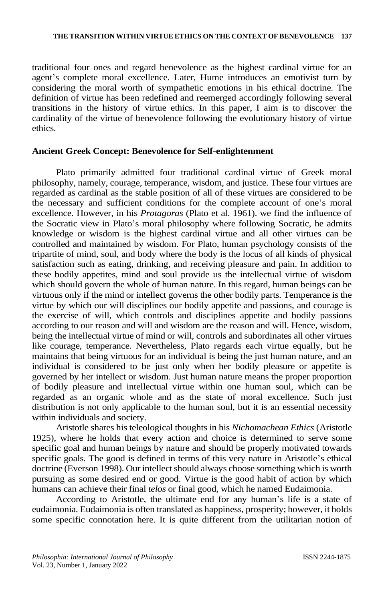traditional four ones and regard benevolence as the highest cardinal virtue for an agent's complete moral excellence. Later, Hume introduces an emotivist turn by considering the moral worth of sympathetic emotions in his ethical doctrine. The definition of virtue has been redefined and reemerged accordingly following several transitions in the history of virtue ethics. In this paper, I aim is to discover the cardinality of the virtue of benevolence following the evolutionary history of virtue ethics.

# **Ancient Greek Concept: Benevolence for Self-enlightenment**

Plato primarily admitted four traditional cardinal virtue of Greek moral philosophy, namely, courage, temperance, wisdom, and justice. These four virtues are regarded as cardinal as the stable position of all of these virtues are considered to be the necessary and sufficient conditions for the complete account of one's moral excellence. However, in his *Protagoras* (Plato et al. 1961). we find the influence of the Socratic view in Plato's moral philosophy where following Socratic, he admits knowledge or wisdom is the highest cardinal virtue and all other virtues can be controlled and maintained by wisdom. For Plato, human psychology consists of the tripartite of mind, soul, and body where the body is the locus of all kinds of physical satisfaction such as eating, drinking, and receiving pleasure and pain. In addition to these bodily appetites, mind and soul provide us the intellectual virtue of wisdom which should govern the whole of human nature. In this regard, human beings can be virtuous only if the mind or intellect governs the other bodily parts. Temperance is the virtue by which our will disciplines our bodily appetite and passions, and courage is the exercise of will, which controls and disciplines appetite and bodily passions according to our reason and will and wisdom are the reason and will. Hence, wisdom, being the intellectual virtue of mind or will, controls and subordinates all other virtues like courage, temperance. Nevertheless, Plato regards each virtue equally, but he maintains that being virtuous for an individual is being the just human nature, and an individual is considered to be just only when her bodily pleasure or appetite is governed by her intellect or wisdom. Just human nature means the proper proportion of bodily pleasure and intellectual virtue within one human soul, which can be regarded as an organic whole and as the state of moral excellence. Such just distribution is not only applicable to the human soul, but it is an essential necessity within individuals and society.

Aristotle shares his teleological thoughts in his *Nichomachean Ethics* (Aristotle 1925), where he holds that every action and choice is determined to serve some specific goal and human beings by nature and should be properly motivated towards specific goals. The good is defined in terms of this very nature in Aristotle's ethical doctrine (Everson 1998). Our intellect should always choose something which is worth pursuing as some desired end or good. Virtue is the good habit of action by which humans can achieve their final *telos* or final good, which he named Eudaimonia.

According to Aristotle, the ultimate end for any human's life is a state of eudaimonia. Eudaimonia is often translated as happiness, prosperity; however, it holds some specific connotation here. It is quite different from the utilitarian notion of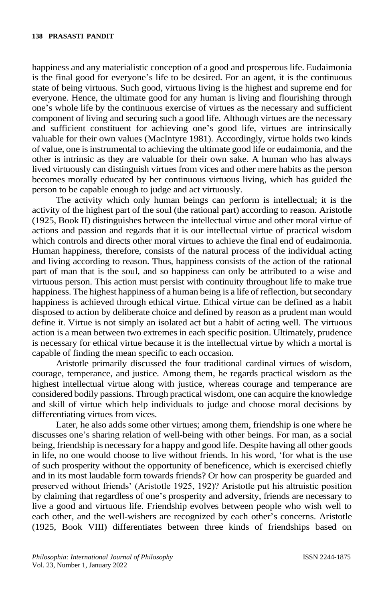happiness and any materialistic conception of a good and prosperous life. Eudaimonia is the final good for everyone's life to be desired. For an agent, it is the continuous state of being virtuous. Such good, virtuous living is the highest and supreme end for everyone. Hence, the ultimate good for any human is living and flourishing through one's whole life by the continuous exercise of virtues as the necessary and sufficient component of living and securing such a good life. Although virtues are the necessary and sufficient constituent for achieving one's good life, virtues are intrinsically valuable for their own values (MacIntyre 1981). Accordingly, virtue holds two kinds of value, one is instrumental to achieving the ultimate good life or eudaimonia, and the other is intrinsic as they are valuable for their own sake. A human who has always lived virtuously can distinguish virtues from vices and other mere habits as the person becomes morally educated by her continuous virtuous living, which has guided the person to be capable enough to judge and act virtuously.

The activity which only human beings can perform is intellectual; it is the activity of the highest part of the soul (the rational part) according to reason. Aristotle (1925, Book II) distinguishes between the intellectual virtue and other moral virtue of actions and passion and regards that it is our intellectual virtue of practical wisdom which controls and directs other moral virtues to achieve the final end of eudaimonia. Human happiness, therefore, consists of the natural process of the individual acting and living according to reason. Thus, happiness consists of the action of the rational part of man that is the soul, and so happiness can only be attributed to a wise and virtuous person. This action must persist with continuity throughout life to make true happiness. The highest happiness of a human being is a life of reflection, but secondary happiness is achieved through ethical virtue. Ethical virtue can be defined as a habit disposed to action by deliberate choice and defined by reason as a prudent man would define it. Virtue is not simply an isolated act but a habit of acting well. The virtuous action is a mean between two extremes in each specific position. Ultimately, prudence is necessary for ethical virtue because it is the intellectual virtue by which a mortal is capable of finding the mean specific to each occasion.

Aristotle primarily discussed the four traditional cardinal virtues of wisdom, courage, temperance, and justice. Among them, he regards practical wisdom as the highest intellectual virtue along with justice, whereas courage and temperance are considered bodily passions. Through practical wisdom, one can acquire the knowledge and skill of virtue which help individuals to judge and choose moral decisions by differentiating virtues from vices.

Later, he also adds some other virtues; among them, friendship is one where he discusses one's sharing relation of well-being with other beings. For man, as a social being, friendship is necessary for a happy and good life. Despite having all other goods in life, no one would choose to live without friends. In his word, 'for what is the use of such prosperity without the opportunity of beneficence, which is exercised chiefly and in its most laudable form towards friends? Or how can prosperity be guarded and preserved without friends' (Aristotle 1925, 192)? Aristotle put his altruistic position by claiming that regardless of one's prosperity and adversity, friends are necessary to live a good and virtuous life. Friendship evolves between people who wish well to each other, and the well-wishers are recognized by each other's concerns. Aristotle (1925, Book VIII) differentiates between three kinds of friendships based on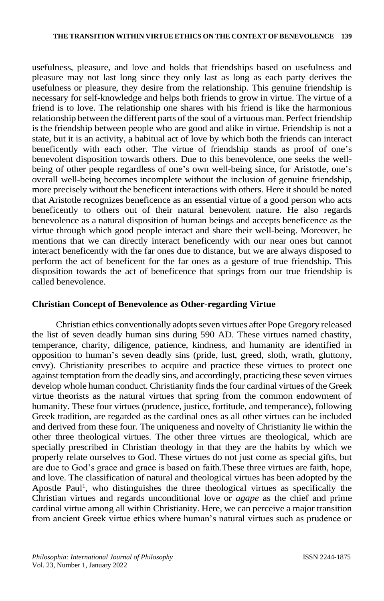usefulness, pleasure, and love and holds that friendships based on usefulness and pleasure may not last long since they only last as long as each party derives the usefulness or pleasure, they desire from the relationship. This genuine friendship is necessary for self-knowledge and helps both friends to grow in virtue. The virtue of a friend is to love. The relationship one shares with his friend is like the harmonious relationship between the different parts of the soul of a virtuous man. Perfect friendship is the friendship between people who are good and alike in virtue. Friendship is not a state, but it is an activity, a habitual act of love by which both the friends can interact beneficently with each other. The virtue of friendship stands as proof of one's benevolent disposition towards others. Due to this benevolence, one seeks the wellbeing of other people regardless of one's own well-being since, for Aristotle, one's overall well-being becomes incomplete without the inclusion of genuine friendship, more precisely without the beneficent interactions with others. Here it should be noted that Aristotle recognizes beneficence as an essential virtue of a good person who acts beneficently to others out of their natural benevolent nature. He also regards benevolence as a natural disposition of human beings and accepts beneficence as the virtue through which good people interact and share their well-being. Moreover, he mentions that we can directly interact beneficently with our near ones but cannot interact beneficently with the far ones due to distance, but we are always disposed to perform the act of beneficent for the far ones as a gesture of true friendship. This disposition towards the act of beneficence that springs from our true friendship is called benevolence.

#### **Christian Concept of Benevolence as Other-regarding Virtue**

Christian ethics conventionally adopts seven virtues after Pope Gregory released the list of seven deadly human sins during 590 AD. These virtues named chastity, temperance, charity, diligence, patience, kindness, and humanity are identified in opposition to human's seven deadly sins (pride, lust, greed, sloth, wrath, gluttony, envy). Christianity prescribes to acquire and practice these virtues to protect one against temptation from the deadly sins, and accordingly, practicing these seven virtues develop whole human conduct. Christianity finds the four cardinal virtues of the Greek virtue theorists as the natural virtues that spring from the common endowment of humanity. These four virtues (prudence, justice, fortitude, and temperance), following Greek tradition, are regarded as the cardinal ones as all other virtues can be included and derived from these four. The uniqueness and novelty of Christianity lie within the other three theological virtues. The other three virtues are theological, which are specially prescribed in Christian theology in that they are the habits by which we properly relate ourselves to God. These virtues do not just come as special gifts, but are due to God's grace and grace is based on faith.These three virtues are faith, hope, and love. The classification of natural and theological virtues has been adopted by the Apostle Paul<sup>1</sup>, who distinguishes the three theological virtues as specifically the Christian virtues and regards unconditional love or *agape* as the chief and prime cardinal virtue among all within Christianity. Here, we can perceive a major transition from ancient Greek virtue ethics where human's natural virtues such as prudence or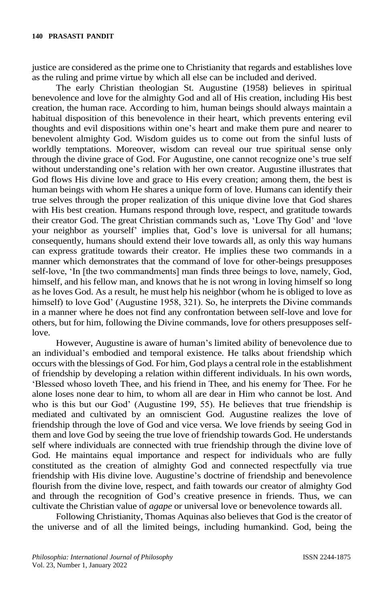justice are considered as the prime one to Christianity that regards and establishes love as the ruling and prime virtue by which all else can be included and derived.

The early Christian theologian St. Augustine (1958) believes in spiritual benevolence and love for the almighty God and all of His creation, including His best creation, the human race. According to him, human beings should always maintain a habitual disposition of this benevolence in their heart, which prevents entering evil thoughts and evil dispositions within one's heart and make them pure and nearer to benevolent almighty God. Wisdom guides us to come out from the sinful lusts of worldly temptations. Moreover, wisdom can reveal our true spiritual sense only through the divine grace of God. For Augustine, one cannot recognize one's true self without understanding one's relation with her own creator. Augustine illustrates that God flows His divine love and grace to His every creation; among them, the best is human beings with whom He shares a unique form of love. Humans can identify their true selves through the proper realization of this unique divine love that God shares with His best creation. Humans respond through love, respect, and gratitude towards their creator God. The great Christian commands such as, 'Love Thy God' and 'love your neighbor as yourself' implies that, God's love is universal for all humans; consequently, humans should extend their love towards all, as only this way humans can express gratitude towards their creator. He implies these two commands in a manner which demonstrates that the command of love for other-beings presupposes self-love, 'In [the two commandments] man finds three beings to love, namely, God, himself, and his fellow man, and knows that he is not wrong in loving himself so long as he loves God. As a result, he must help his neighbor (whom he is obliged to love as himself) to love God' (Augustine 1958, 321). So, he interprets the Divine commands in a manner where he does not find any confrontation between self-love and love for others, but for him, following the Divine commands, love for others presupposes selflove.

However, Augustine is aware of human's limited ability of benevolence due to an individual's embodied and temporal existence. He talks about friendship which occurs with the blessings of God. For him, God plays a central role in the establishment of friendship by developing a relation within different individuals. In his own words, 'Blessed whoso loveth Thee, and his friend in Thee, and his enemy for Thee. For he alone loses none dear to him, to whom all are dear in Him who cannot be lost. And who is this but our God' (Augustine 199, 55). He believes that true friendship is mediated and cultivated by an omniscient God. Augustine realizes the love of friendship through the love of God and vice versa. We love friends by seeing God in them and love God by seeing the true love of friendship towards God. He understands self where individuals are connected with true friendship through the divine love of God. He maintains equal importance and respect for individuals who are fully constituted as the creation of almighty God and connected respectfully via true friendship with His divine love. Augustine's doctrine of friendship and benevolence flourish from the divine love, respect, and faith towards our creator of almighty God and through the recognition of God's creative presence in friends. Thus, we can cultivate the Christian value of *agape* or universal love or benevolence towards all.

Following Christianity, Thomas Aquinas also believes that God is the creator of the universe and of all the limited beings, including humankind. God, being the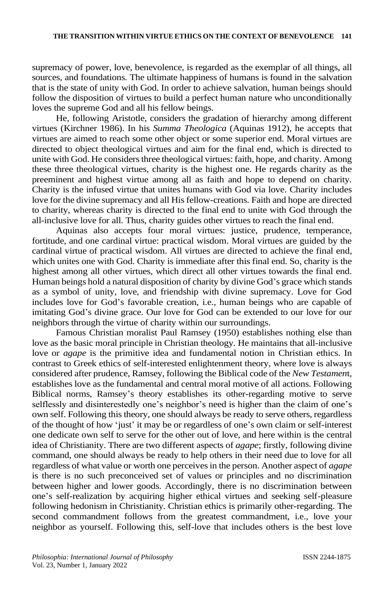supremacy of power, love, benevolence, is regarded as the exemplar of all things, all sources, and foundations. The ultimate happiness of humans is found in the salvation that is the state of unity with God. In order to achieve salvation, human beings should follow the disposition of virtues to build a perfect human nature who unconditionally loves the supreme God and all his fellow beings.

He, following Aristotle, considers the gradation of hierarchy among different virtues (Kirchner 1986). In his *Summa Theologica* (Aquinas 1912), he accepts that virtues are aimed to reach some other object or some superior end. Moral virtues are directed to object theological virtues and aim for the final end, which is directed to unite with God. He considers three theological virtues: faith, hope, and charity. Among these three theological virtues, charity is the highest one. He regards charity as the preeminent and highest virtue among all as faith and hope to depend on charity. Charity is the infused virtue that unites humans with God via love. Charity includes love for the divine supremacy and all His fellow-creations. Faith and hope are directed to charity, whereas charity is directed to the final end to unite with God through the all-inclusive love for all. Thus, charity guides other virtues to reach the final end.

Aquinas also accepts four moral virtues: justice, prudence, temperance, fortitude, and one cardinal virtue: practical wisdom. Moral virtues are guided by the cardinal virtue of practical wisdom. All virtues are directed to achieve the final end, which unites one with God. Charity is immediate after this final end. So, charity is the highest among all other virtues, which direct all other virtues towards the final end. Human beings hold a natural disposition of charity by divine God's grace which stands as a symbol of unity, love, and friendship with divine supremacy. Love for God includes love for God's favorable creation, i.e., human beings who are capable of imitating God's divine grace. Our love for God can be extended to our love for our neighbors through the virtue of charity within our surroundings.

Famous Christian moralist Paul Ramsey (1950) establishes nothing else than love as the basic moral principle in Christian theology. He maintains that all-inclusive love or *agape* is the primitive idea and fundamental notion in Christian ethics. In contrast to Greek ethics of self-interested enlightenment theory, where love is always considered after prudence, Ramsey, following the Biblical code of the *New Testamen*t, establishes love as the fundamental and central moral motive of all actions. Following Biblical norms, Ramsey's theory establishes its other-regarding motive to serve selflessly and disinterestedly one's neighbor's need is higher than the claim of one's own self. Following this theory, one should always be ready to serve others, regardless of the thought of how 'just' it may be or regardless of one's own claim or self-interest one dedicate own self to serve for the other out of love, and here within is the central idea of Christianity. There are two different aspects of *agape*; firstly, following divine command, one should always be ready to help others in their need due to love for all regardless of what value or worth one perceives in the person. Another aspect of *agape* is there is no such preconceived set of values or principles and no discrimination between higher and lower goods. Accordingly, there is no discrimination between one's self-realization by acquiring higher ethical virtues and seeking self-pleasure following hedonism in Christianity. Christian ethics is primarily other-regarding. The second commandment follows from the greatest commandment, i.e., love your neighbor as yourself. Following this, self-love that includes others is the best love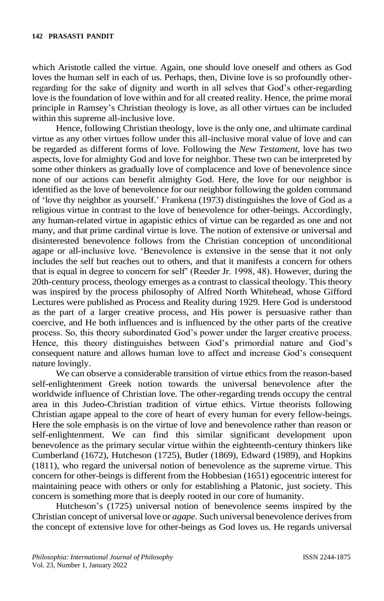which Aristotle called the virtue. Again, one should love oneself and others as God loves the human self in each of us. Perhaps, then, Divine love is so profoundly otherregarding for the sake of dignity and worth in all selves that God's other-regarding love is the foundation of love within and for all created reality. Hence, the prime moral principle in Ramsey's Christian theology is love, as all other virtues can be included within this supreme all-inclusive love.

Hence, following Christian theology, love is the only one, and ultimate cardinal virtue as any other virtues follow under this all-inclusive moral value of love and can be regarded as different forms of love. Following the *New Testament,* love has two aspects, love for almighty God and love for neighbor. These two can be interpreted by some other thinkers as gradually love of complacence and love of benevolence since none of our actions can benefit almighty God. Here, the love for our neighbor is identified as the love of benevolence for our neighbor following the golden command of 'love thy neighbor as yourself.' Frankena (1973) distinguishes the love of God as a religious virtue in contrast to the love of benevolence for other-beings. Accordingly, any human-related virtue in agapistic ethics of virtue can be regarded as one and not many, and that prime cardinal virtue is love. The notion of extensive or universal and disinterested benevolence follows from the Christian conception of unconditional agape or all-inclusive love. 'Benevolence is extensive in the sense that it not only includes the self but reaches out to others, and that it manifests a concern for others that is equal in degree to concern for self' (Reeder Jr. 1998, 48). However, during the 20th-century process, theology emerges as a contrast to classical theology. This theory was inspired by the process philosophy of Alfred North Whitehead, whose Gifford Lectures were published as Process and Reality during 1929. Here God is understood as the part of a larger creative process, and His power is persuasive rather than coercive, and He both influences and is influenced by the other parts of the creative process. So, this theory subordinated God's power under the larger creative process. Hence, this theory distinguishes between God's primordial nature and God's consequent nature and allows human love to affect and increase God's consequent nature lovingly.

We can observe a considerable transition of virtue ethics from the reason-based self-enlightenment Greek notion towards the universal benevolence after the worldwide influence of Christian love. The other-regarding trends occupy the central area in this Judeo-Christian tradition of virtue ethics. Virtue theorists following Christian agape appeal to the core of heart of every human for every fellow-beings. Here the sole emphasis is on the virtue of love and benevolence rather than reason or self-enlightenment. We can find this similar significant development upon benevolence as the primary secular virtue within the eighteenth-century thinkers like Cumberland (1672), Hutcheson (1725), Butler (1869), Edward (1989), and Hopkins (1811), who regard the universal notion of benevolence as the supreme virtue. This concern for other-beings is different from the Hobbesian (1651) egocentric interest for maintaining peace with others or only for establishing a Platonic, just society. This concern is something more that is deeply rooted in our core of humanity.

Hutcheson's (1725) universal notion of benevolence seems inspired by the Christian concept of universal love or *agape*. Such universal benevolence derives from the concept of extensive love for other-beings as God loves us. He regards universal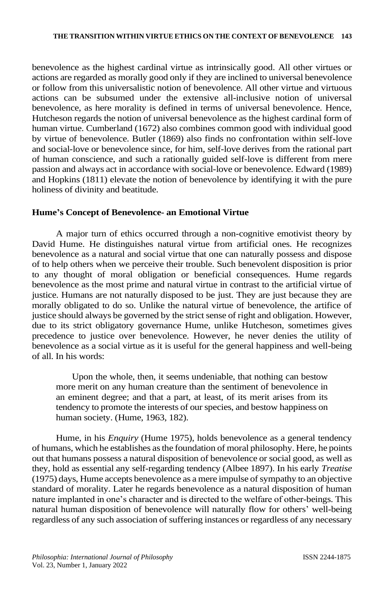benevolence as the highest cardinal virtue as intrinsically good. All other virtues or actions are regarded as morally good only if they are inclined to universal benevolence or follow from this universalistic notion of benevolence. All other virtue and virtuous actions can be subsumed under the extensive all-inclusive notion of universal benevolence, as here morality is defined in terms of universal benevolence. Hence, Hutcheson regards the notion of universal benevolence as the highest cardinal form of human virtue. Cumberland (1672) also combines common good with individual good by virtue of benevolence. Butler (1869) also finds no confrontation within self-love and social-love or benevolence since, for him, self-love derives from the rational part of human conscience, and such a rationally guided self-love is different from mere passion and always act in accordance with social-love or benevolence. Edward (1989) and Hopkins (1811) elevate the notion of benevolence by identifying it with the pure holiness of divinity and beatitude.

# **Hume's Concept of Benevolence- an Emotional Virtue**

A major turn of ethics occurred through a non-cognitive emotivist theory by David Hume. He distinguishes natural virtue from artificial ones. He recognizes benevolence as a natural and social virtue that one can naturally possess and dispose of to help others when we perceive their trouble. Such benevolent disposition is prior to any thought of moral obligation or beneficial consequences. Hume regards benevolence as the most prime and natural virtue in contrast to the artificial virtue of justice. Humans are not naturally disposed to be just. They are just because they are morally obligated to do so. Unlike the natural virtue of benevolence, the artifice of justice should always be governed by the strict sense of right and obligation. However, due to its strict obligatory governance Hume, unlike Hutcheson, sometimes gives precedence to justice over benevolence. However, he never denies the utility of benevolence as a social virtue as it is useful for the general happiness and well-being of all. In his words:

Upon the whole, then, it seems undeniable, that nothing can bestow more merit on any human creature than the sentiment of benevolence in an eminent degree; and that a part, at least, of its merit arises from its tendency to promote the interests of our species, and bestow happiness on human society. (Hume, 1963, 182).

Hume, in his *Enquiry* (Hume 1975), holds benevolence as a general tendency of humans, which he establishes as the foundation of moral philosophy. Here, he points out that humans possess a natural disposition of benevolence or social good, as well as they, hold as essential any self-regarding tendency (Albee 1897). In his early *Treatise* (1975) days, Hume accepts benevolence as a mere impulse of sympathy to an objective standard of morality. Later he regards benevolence as a natural disposition of human nature implanted in one's character and is directed to the welfare of other-beings. This natural human disposition of benevolence will naturally flow for others' well-being regardless of any such association of suffering instances or regardless of any necessary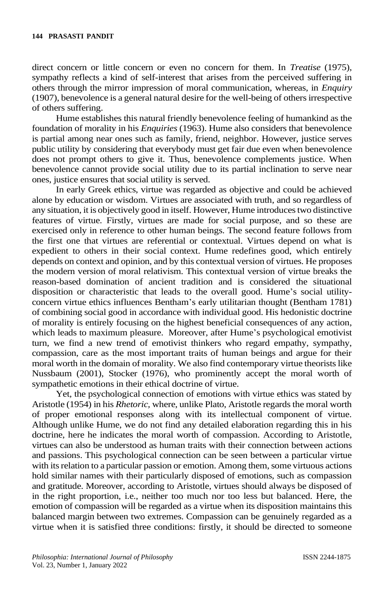direct concern or little concern or even no concern for them. In *Treatise* (1975), sympathy reflects a kind of self-interest that arises from the perceived suffering in others through the mirror impression of moral communication, whereas, in *Enquiry* (1907), benevolence is a general natural desire for the well-being of others irrespective of others suffering.

Hume establishes this natural friendly benevolence feeling of humankind as the foundation of morality in his *Enquiries* (1963). Hume also considers that benevolence is partial among near ones such as family, friend, neighbor. However, justice serves public utility by considering that everybody must get fair due even when benevolence does not prompt others to give it. Thus, benevolence complements justice. When benevolence cannot provide social utility due to its partial inclination to serve near ones, justice ensures that social utility is served.

In early Greek ethics, virtue was regarded as objective and could be achieved alone by education or wisdom. Virtues are associated with truth, and so regardless of any situation, it is objectively good in itself. However, Hume introduces two distinctive features of virtue. Firstly, virtues are made for social purpose, and so these are exercised only in reference to other human beings. The second feature follows from the first one that virtues are referential or contextual. Virtues depend on what is expedient to others in their social context. Hume redefines good, which entirely depends on context and opinion, and by this contextual version of virtues. He proposes the modern version of moral relativism. This contextual version of virtue breaks the reason-based domination of ancient tradition and is considered the situational disposition or characteristic that leads to the overall good. Hume's social utilityconcern virtue ethics influences Bentham's early utilitarian thought (Bentham 1781) of combining social good in accordance with individual good. His hedonistic doctrine of morality is entirely focusing on the highest beneficial consequences of any action, which leads to maximum pleasure. Moreover, after Hume's psychological emotivist turn, we find a new trend of emotivist thinkers who regard empathy, sympathy, compassion, care as the most important traits of human beings and argue for their moral worth in the domain of morality. We also find contemporary virtue theorists like Nussbaum (2001), Stocker (1976), who prominently accept the moral worth of sympathetic emotions in their ethical doctrine of virtue.

Yet, the psychological connection of emotions with virtue ethics was stated by Aristotle (1954) in his *Rhetoric,* where, unlike Plato, Aristotle regards the moral worth of proper emotional responses along with its intellectual component of virtue. Although unlike Hume, we do not find any detailed elaboration regarding this in his doctrine, here he indicates the moral worth of compassion. According to Aristotle, virtues can also be understood as human traits with their connection between actions and passions. This psychological connection can be seen between a particular virtue with its relation to a particular passion or emotion. Among them, some virtuous actions hold similar names with their particularly disposed of emotions, such as compassion and gratitude. Moreover, according to Aristotle, virtues should always be disposed of in the right proportion, i.e., neither too much nor too less but balanced. Here, the emotion of compassion will be regarded as a virtue when its disposition maintains this balanced margin between two extremes. Compassion can be genuinely regarded as a virtue when it is satisfied three conditions: firstly, it should be directed to someone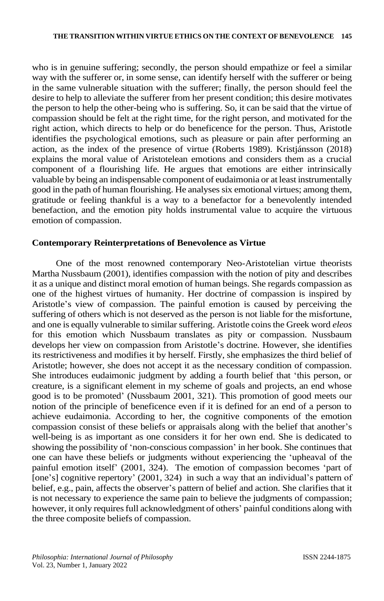who is in genuine suffering; secondly, the person should empathize or feel a similar way with the sufferer or, in some sense, can identify herself with the sufferer or being in the same vulnerable situation with the sufferer; finally, the person should feel the desire to help to alleviate the sufferer from her present condition; this desire motivates the person to help the other-being who is suffering. So, it can be said that the virtue of compassion should be felt at the right time, for the right person, and motivated for the right action, which directs to help or do beneficence for the person. Thus, Aristotle identifies the psychological emotions, such as pleasure or pain after performing an action, as the index of the presence of virtue (Roberts 1989). Kristjánsson (2018) explains the moral value of Aristotelean emotions and considers them as a crucial component of a flourishing life. He argues that emotions are either intrinsically valuable by being an indispensable component of eudaimonia or at least instrumentally good in the path of human flourishing. He analyses six emotional virtues; among them, gratitude or feeling thankful is a way to a benefactor for a benevolently intended benefaction, and the emotion pity holds instrumental value to acquire the virtuous emotion of compassion.

# **Contemporary Reinterpretations of Benevolence as Virtue**

One of the most renowned contemporary Neo-Aristotelian virtue theorists Martha Nussbaum (2001), identifies compassion with the notion of pity and describes it as a unique and distinct moral emotion of human beings. She regards compassion as one of the highest virtues of humanity. Her doctrine of compassion is inspired by Aristotle's view of compassion. The painful emotion is caused by perceiving the suffering of others which is not deserved as the person is not liable for the misfortune, and one is equally vulnerable to similar suffering. Aristotle coins the Greek word *eleos* for this emotion which Nussbaum translates as pity or compassion. Nussbaum develops her view on compassion from Aristotle's doctrine. However, she identifies its restrictiveness and modifies it by herself. Firstly, she emphasizes the third belief of Aristotle; however, she does not accept it as the necessary condition of compassion. She introduces eudaimonic judgment by adding a fourth belief that 'this person, or creature, is a significant element in my scheme of goals and projects, an end whose good is to be promoted' (Nussbaum 2001, 321). This promotion of good meets our notion of the principle of beneficence even if it is defined for an end of a person to achieve eudaimonia. According to her, the cognitive components of the emotion compassion consist of these beliefs or appraisals along with the belief that another's well-being is as important as one considers it for her own end. She is dedicated to showing the possibility of 'non-conscious compassion' in her book. She continues that one can have these beliefs or judgments without experiencing the 'upheaval of the painful emotion itself' (2001, 324). The emotion of compassion becomes 'part of [one's] cognitive repertory' (2001, 324) in such a way that an individual's pattern of belief, e.g., pain, affects the observer's pattern of belief and action. She clarifies that it is not necessary to experience the same pain to believe the judgments of compassion; however, it only requires full acknowledgment of others' painful conditions along with the three composite beliefs of compassion.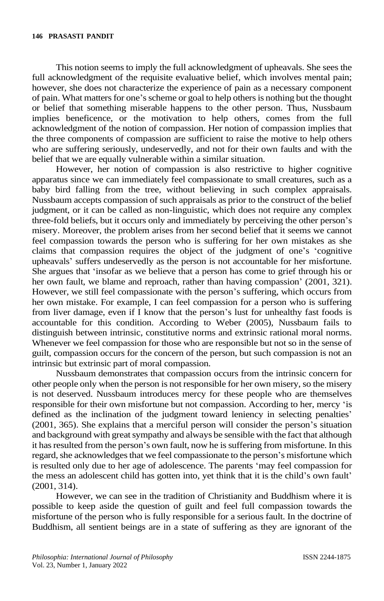This notion seems to imply the full acknowledgment of upheavals. She sees the full acknowledgment of the requisite evaluative belief, which involves mental pain; however, she does not characterize the experience of pain as a necessary component of pain. What matters for one's scheme or goal to help others is nothing but the thought or belief that something miserable happens to the other person. Thus, Nussbaum implies beneficence, or the motivation to help others, comes from the full acknowledgment of the notion of compassion. Her notion of compassion implies that the three components of compassion are sufficient to raise the motive to help others who are suffering seriously, undeservedly, and not for their own faults and with the belief that we are equally vulnerable within a similar situation.

However, her notion of compassion is also restrictive to higher cognitive apparatus since we can immediately feel compassionate to small creatures, such as a baby bird falling from the tree, without believing in such complex appraisals. Nussbaum accepts compassion of such appraisals as prior to the construct of the belief judgment, or it can be called as non-linguistic, which does not require any complex three-fold beliefs, but it occurs only and immediately by perceiving the other person's misery. Moreover, the problem arises from her second belief that it seems we cannot feel compassion towards the person who is suffering for her own mistakes as she claims that compassion requires the object of the judgment of one's 'cognitive upheavals' suffers undeservedly as the person is not accountable for her misfortune. She argues that 'insofar as we believe that a person has come to grief through his or her own fault, we blame and reproach, rather than having compassion' (2001, 321). However, we still feel compassionate with the person's suffering, which occurs from her own mistake. For example, I can feel compassion for a person who is suffering from liver damage, even if I know that the person's lust for unhealthy fast foods is accountable for this condition. According to Weber (2005), Nussbaum fails to distinguish between intrinsic, constitutive norms and extrinsic rational moral norms. Whenever we feel compassion for those who are responsible but not so in the sense of guilt, compassion occurs for the concern of the person, but such compassion is not an intrinsic but extrinsic part of moral compassion.

Nussbaum demonstrates that compassion occurs from the intrinsic concern for other people only when the person is not responsible for her own misery, so the misery is not deserved. Nussbaum introduces mercy for these people who are themselves responsible for their own misfortune but not compassion. According to her, mercy 'is defined as the inclination of the judgment toward leniency in selecting penalties' (2001, 365). She explains that a merciful person will consider the person's situation and background with great sympathy and always be sensible with the fact that although it has resulted from the person's own fault, now he is suffering from misfortune. In this regard, she acknowledges that we feel compassionate to the person's misfortune which is resulted only due to her age of adolescence. The parents 'may feel compassion for the mess an adolescent child has gotten into, yet think that it is the child's own fault' (2001, 314).

However, we can see in the tradition of Christianity and Buddhism where it is possible to keep aside the question of guilt and feel full compassion towards the misfortune of the person who is fully responsible for a serious fault. In the doctrine of Buddhism, all sentient beings are in a state of suffering as they are ignorant of the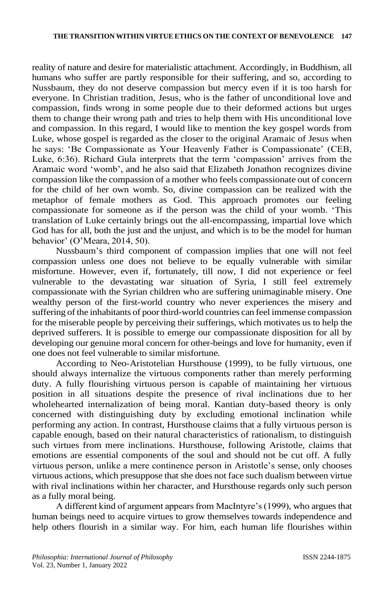reality of nature and desire for materialistic attachment. Accordingly, in Buddhism, all humans who suffer are partly responsible for their suffering, and so, according to Nussbaum, they do not deserve compassion but mercy even if it is too harsh for everyone. In Christian tradition, Jesus, who is the father of unconditional love and compassion, finds wrong in some people due to their deformed actions but urges them to change their wrong path and tries to help them with His unconditional love and compassion. In this regard, I would like to mention the key gospel words from Luke, whose gospel is regarded as the closer to the original Aramaic of Jesus when he says: 'Be Compassionate as Your Heavenly Father is Compassionate' (CEB, Luke, 6:36). Richard Gula interprets that the term 'compassion' arrives from the Aramaic word 'womb', and he also said that Elizabeth Jonathon recognizes divine compassion like the compassion of a mother who feels compassionate out of concern for the child of her own womb. So, divine compassion can be realized with the metaphor of female mothers as God. This approach promotes our feeling compassionate for someone as if the person was the child of your womb. 'This translation of Luke certainly brings out the all-encompassing, impartial love which God has for all, both the just and the unjust, and which is to be the model for human behavior' (O'Meara, 2014, 50).

Nussbaum's third component of compassion implies that one will not feel compassion unless one does not believe to be equally vulnerable with similar misfortune. However, even if, fortunately, till now, I did not experience or feel vulnerable to the devastating war situation of Syria, I still feel extremely compassionate with the Syrian children who are suffering unimaginable misery. One wealthy person of the first-world country who never experiences the misery and suffering of the inhabitants of poor third-world countries can feel immense compassion for the miserable people by perceiving their sufferings, which motivates us to help the deprived sufferers. It is possible to emerge our compassionate disposition for all by developing our genuine moral concern for other-beings and love for humanity, even if one does not feel vulnerable to similar misfortune.

According to Neo-Aristotelian Hursthouse (1999), to be fully virtuous, one should always internalize the virtuous components rather than merely performing duty. A fully flourishing virtuous person is capable of maintaining her virtuous position in all situations despite the presence of rival inclinations due to her wholehearted internalization of being moral. Kantian duty-based theory is only concerned with distinguishing duty by excluding emotional inclination while performing any action. In contrast, Hursthouse claims that a fully virtuous person is capable enough, based on their natural characteristics of rationalism, to distinguish such virtues from mere inclinations. Hursthouse, following Aristotle, claims that emotions are essential components of the soul and should not be cut off. A fully virtuous person, unlike a mere continence person in Aristotle's sense, only chooses virtuous actions, which presuppose that she does not face such dualism between virtue with rival inclinations within her character, and Hursthouse regards only such person as a fully moral being.

A different kind of argument appears from MacIntyre's (1999), who argues that human beings need to acquire virtues to grow themselves towards independence and help others flourish in a similar way. For him, each human life flourishes within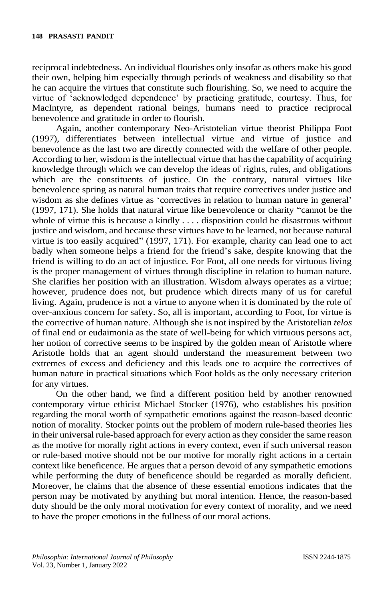reciprocal indebtedness. An individual flourishes only insofar as others make his good their own, helping him especially through periods of weakness and disability so that he can acquire the virtues that constitute such flourishing. So, we need to acquire the virtue of 'acknowledged dependence' by practicing gratitude, courtesy. Thus, for MacIntyre, as dependent rational beings, humans need to practice reciprocal benevolence and gratitude in order to flourish.

Again, another contemporary Neo-Aristotelian virtue theorist Philippa Foot (1997), differentiates between intellectual virtue and virtue of justice and benevolence as the last two are directly connected with the welfare of other people. According to her, wisdom is the intellectual virtue that has the capability of acquiring knowledge through which we can develop the ideas of rights, rules, and obligations which are the constituents of justice. On the contrary, natural virtues like benevolence spring as natural human traits that require correctives under justice and wisdom as she defines virtue as 'correctives in relation to human nature in general' (1997, 171). She holds that natural virtue like benevolence or charity "cannot be the whole of virtue this is because a kindly . . . . disposition could be disastrous without justice and wisdom, and because these virtues have to be learned, not because natural virtue is too easily acquired" (1997, 171). For example, charity can lead one to act badly when someone helps a friend for the friend's sake, despite knowing that the friend is willing to do an act of injustice. For Foot, all one needs for virtuous living is the proper management of virtues through discipline in relation to human nature. She clarifies her position with an illustration. Wisdom always operates as a virtue; however, prudence does not, but prudence which directs many of us for careful living. Again, prudence is not a virtue to anyone when it is dominated by the role of over-anxious concern for safety. So, all is important, according to Foot, for virtue is the corrective of human nature. Although she is not inspired by the Aristotelian *telos* of final end or eudaimonia as the state of well-being for which virtuous persons act, her notion of corrective seems to be inspired by the golden mean of Aristotle where Aristotle holds that an agent should understand the measurement between two extremes of excess and deficiency and this leads one to acquire the correctives of human nature in practical situations which Foot holds as the only necessary criterion for any virtues.

On the other hand, we find a different position held by another renowned contemporary virtue ethicist Michael Stocker (1976), who establishes his position regarding the moral worth of sympathetic emotions against the reason-based deontic notion of morality. Stocker points out the problem of modern rule-based theories lies in their universal rule-based approach for every action as they consider the same reason as the motive for morally right actions in every context, even if such universal reason or rule-based motive should not be our motive for morally right actions in a certain context like beneficence. He argues that a person devoid of any sympathetic emotions while performing the duty of beneficence should be regarded as morally deficient. Moreover, he claims that the absence of these essential emotions indicates that the person may be motivated by anything but moral intention. Hence, the reason-based duty should be the only moral motivation for every context of morality, and we need to have the proper emotions in the fullness of our moral actions.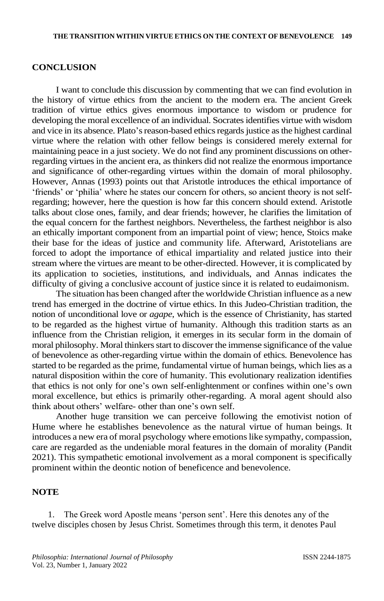# **CONCLUSION**

I want to conclude this discussion by commenting that we can find evolution in the history of virtue ethics from the ancient to the modern era. The ancient Greek tradition of virtue ethics gives enormous importance to wisdom or prudence for developing the moral excellence of an individual. Socrates identifies virtue with wisdom and vice in its absence. Plato's reason-based ethics regards justice as the highest cardinal virtue where the relation with other fellow beings is considered merely external for maintaining peace in a just society. We do not find any prominent discussions on otherregarding virtues in the ancient era, as thinkers did not realize the enormous importance and significance of other-regarding virtues within the domain of moral philosophy. However, Annas (1993) points out that Aristotle introduces the ethical importance of 'friends' or 'philia' where he states our concern for others, so ancient theory is not selfregarding; however, here the question is how far this concern should extend. Aristotle talks about close ones, family, and dear friends; however, he clarifies the limitation of the equal concern for the farthest neighbors. Nevertheless, the farthest neighbor is also an ethically important component from an impartial point of view; hence, Stoics make their base for the ideas of justice and community life. Afterward, Aristotelians are forced to adopt the importance of ethical impartiality and related justice into their stream where the virtues are meant to be other-directed. However, it is complicated by its application to societies, institutions, and individuals, and Annas indicates the difficulty of giving a conclusive account of justice since it is related to eudaimonism.

The situation has been changed after the worldwide Christian influence as a new trend has emerged in the doctrine of virtue ethics. In this Judeo-Christian tradition, the notion of unconditional love or *agape*, which is the essence of Christianity, has started to be regarded as the highest virtue of humanity. Although this tradition starts as an influence from the Christian religion, it emerges in its secular form in the domain of moral philosophy. Moral thinkers start to discover the immense significance of the value of benevolence as other-regarding virtue within the domain of ethics. Benevolence has started to be regarded as the prime, fundamental virtue of human beings, which lies as a natural disposition within the core of humanity. This evolutionary realization identifies that ethics is not only for one's own self-enlightenment or confines within one's own moral excellence, but ethics is primarily other-regarding. A moral agent should also think about others' welfare- other than one's own self.

Another huge transition we can perceive following the emotivist notion of Hume where he establishes benevolence as the natural virtue of human beings. It introduces a new era of moral psychology where emotions like sympathy, compassion, care are regarded as the undeniable moral features in the domain of morality (Pandit 2021). This sympathetic emotional involvement as a moral component is specifically prominent within the deontic notion of beneficence and benevolence.

#### **NOTE**

1. The Greek word Apostle means 'person sent'. Here this denotes any of the twelve disciples chosen by Jesus Christ. Sometimes through this term, it denotes Paul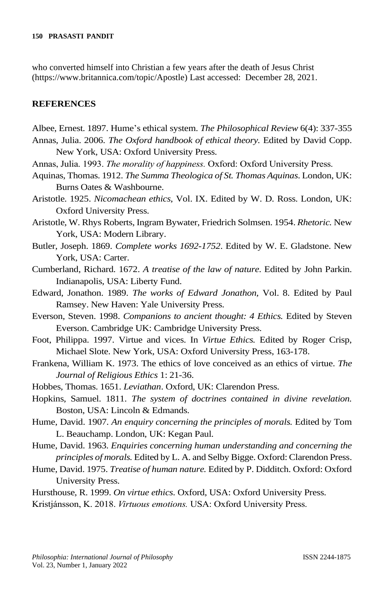who converted himself into Christian a few years after the death of Jesus Christ [\(https://www.britannica.com/topic/Apostle\)](https://www.britannica.com/topic/Apostle) Last accessed: December 28, 2021.

#### **REFERENCES**

- Albee, Ernest. 1897. Hume's ethical system. *The Philosophical Review* 6(4): 337-355
- Annas, Julia. 2006. *The Oxford handbook of ethical theory.* Edited by David Copp. New York, USA: Oxford University Press.
- Annas, Julia. 1993. *The morality of happiness.* Oxford: Oxford University Press.
- Aquinas, Thomas. 1912. *The Summa Theologica of St. Thomas Aquinas*. London, UK: Burns Oates & Washbourne.
- Aristotle. 1925. *Nicomachean ethics*, Vol. IX. Edited by W. D. Ross. London, UK: Oxford University Press.
- Aristotle, W. Rhys Roberts, Ingram Bywater, Friedrich Solmsen. 1954. *Rhetoric.* New York, USA: Modern Library.
- Butler, Joseph. 1869. *Complete works 1692-1752*. Edited by W. E. Gladstone. New York, USA: Carter.
- Cumberland, Richard. 1672. *A treatise of the law of nature*. Edited by John Parkin. Indianapolis, USA: Liberty Fund.
- Edward, Jonathon. 1989. *The works of Edward Jonathon,* Vol. 8. Edited by Paul Ramsey. New Haven: Yale University Press.
- Everson, Steven. 1998. *Companions to ancient thought: 4 Ethics.* Edited by Steven Everson. Cambridge UK: Cambridge University Press.
- Foot, Philippa. 1997. Virtue and vices. In *Virtue Ethics.* Edited by Roger Crisp, Michael Slote. New York, USA: Oxford University Press, 163-178.
- Frankena, William K. 1973. The ethics of love conceived as an ethics of virtue. *The Journal of Religious Ethics* 1: 21-36.
- Hobbes, Thomas. 1651. *Leviathan*. Oxford, UK: Clarendon Press.
- Hopkins, Samuel. 1811. *The system of doctrines contained in divine revelation.* Boston, USA: Lincoln & Edmands.
- Hume, David. 1907. *An enquiry concerning the principles of morals.* Edited by Tom L. Beauchamp. London, UK: Kegan Paul.
- Hume, David. 1963. *Enquiries concerning human understanding and concerning the principles of morals.* Edited by L. A. and Selby Bigge. Oxford: Clarendon Press.
- Hume, David. 1975. *Treatise of human nature.* Edited by P. Didditch. Oxford: Oxford University Press.
- Hursthouse, R. 1999. *On virtue ethics*. Oxford, USA: Oxford University Press.
- Kristjánsson, K. 2018. *Virtuous emotions.* USA: Oxford University Press.